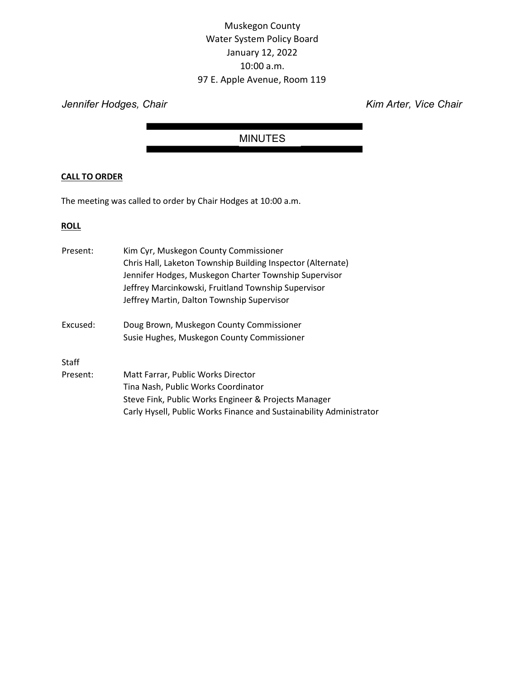# Muskegon County Water System Policy Board January 12, 2022 10:00 a.m. 97 E. Apple Avenue, Room 119

Jennifer Hodges, Chair **Kim Arter, Vice Chair** Kim Arter, Vice Chair

# MINUTES

# CALL TO ORDER

The meeting was called to order by Chair Hodges at 10:00 a.m.

# **ROLL**

| Present: | Kim Cyr, Muskegon County Commissioner<br>Chris Hall, Laketon Township Building Inspector (Alternate)<br>Jennifer Hodges, Muskegon Charter Township Supervisor<br>Jeffrey Marcinkowski, Fruitland Township Supervisor<br>Jeffrey Martin, Dalton Township Supervisor |
|----------|--------------------------------------------------------------------------------------------------------------------------------------------------------------------------------------------------------------------------------------------------------------------|
| Excused: | Doug Brown, Muskegon County Commissioner                                                                                                                                                                                                                           |
|          | Susie Hughes, Muskegon County Commissioner                                                                                                                                                                                                                         |
| Staff    |                                                                                                                                                                                                                                                                    |
| Present: | Matt Farrar, Public Works Director                                                                                                                                                                                                                                 |
|          | Tina Nash, Public Works Coordinator                                                                                                                                                                                                                                |
|          | Steve Fink, Public Works Engineer & Projects Manager                                                                                                                                                                                                               |
|          | Carly Hysell, Public Works Finance and Sustainability Administrator                                                                                                                                                                                                |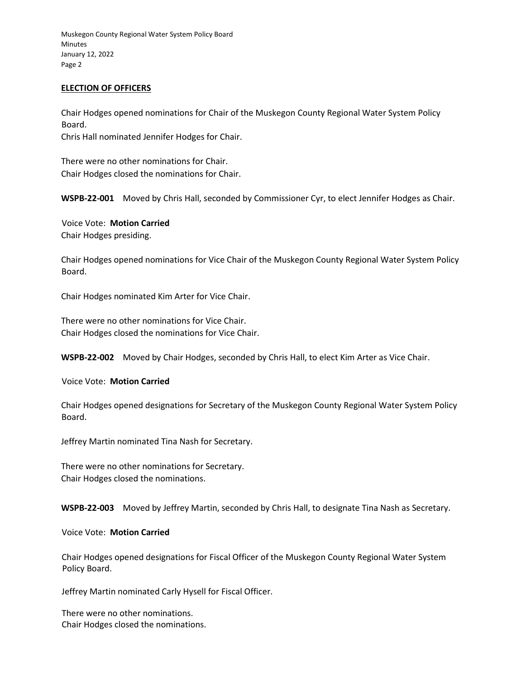Muskegon County Regional Water System Policy Board Minutes January 12, 2022 Page 2

### ELECTION OF OFFICERS

Chair Hodges opened nominations for Chair of the Muskegon County Regional Water System Policy Board. Chris Hall nominated Jennifer Hodges for Chair.

There were no other nominations for Chair.

Chair Hodges closed the nominations for Chair.

WSPB-22-001 Moved by Chris Hall, seconded by Commissioner Cyr, to elect Jennifer Hodges as Chair.

Voice Vote: Motion Carried Chair Hodges presiding.

Chair Hodges opened nominations for Vice Chair of the Muskegon County Regional Water System Policy Board.

Chair Hodges nominated Kim Arter for Vice Chair.

There were no other nominations for Vice Chair. Chair Hodges closed the nominations for Vice Chair.

WSPB-22-002 Moved by Chair Hodges, seconded by Chris Hall, to elect Kim Arter as Vice Chair.

Voice Vote: Motion Carried

Chair Hodges opened designations for Secretary of the Muskegon County Regional Water System Policy Board.

Jeffrey Martin nominated Tina Nash for Secretary.

There were no other nominations for Secretary. Chair Hodges closed the nominations.

WSPB-22-003 Moved by Jeffrey Martin, seconded by Chris Hall, to designate Tina Nash as Secretary.

Voice Vote: Motion Carried

Chair Hodges opened designations for Fiscal Officer of the Muskegon County Regional Water System Policy Board.

Jeffrey Martin nominated Carly Hysell for Fiscal Officer.

There were no other nominations. Chair Hodges closed the nominations.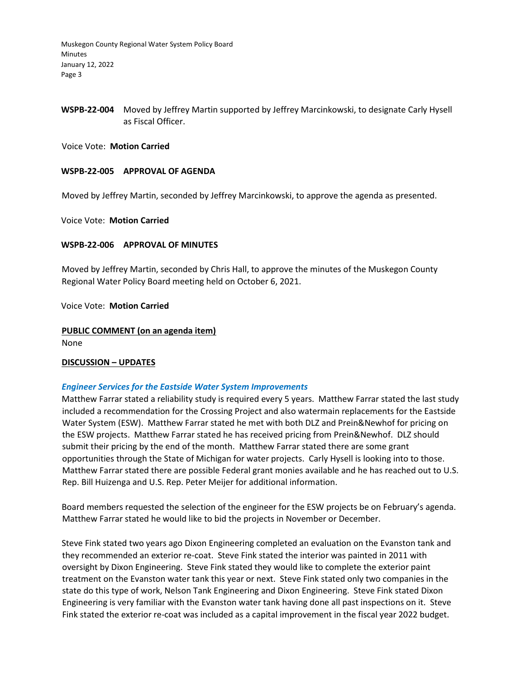Muskegon County Regional Water System Policy Board **Minutes** January 12, 2022 Page 3

# WSPB-22-004 Moved by Jeffrey Martin supported by Jeffrey Marcinkowski, to designate Carly Hysell as Fiscal Officer.

Voice Vote: Motion Carried

#### WSPB-22-005 APPROVAL OF AGENDA

Moved by Jeffrey Martin, seconded by Jeffrey Marcinkowski, to approve the agenda as presented.

Voice Vote: Motion Carried

#### WSPB-22-006 APPROVAL OF MINUTES

Moved by Jeffrey Martin, seconded by Chris Hall, to approve the minutes of the Muskegon County Regional Water Policy Board meeting held on October 6, 2021.

Voice Vote: Motion Carried

PUBLIC COMMENT (on an agenda item) None

DISCUSSION – UPDATES

#### Engineer Services for the Eastside Water System Improvements

Matthew Farrar stated a reliability study is required every 5 years. Matthew Farrar stated the last study included a recommendation for the Crossing Project and also watermain replacements for the Eastside Water System (ESW). Matthew Farrar stated he met with both DLZ and Prein&Newhof for pricing on the ESW projects. Matthew Farrar stated he has received pricing from Prein&Newhof. DLZ should submit their pricing by the end of the month. Matthew Farrar stated there are some grant opportunities through the State of Michigan for water projects. Carly Hysell is looking into to those. Matthew Farrar stated there are possible Federal grant monies available and he has reached out to U.S. Rep. Bill Huizenga and U.S. Rep. Peter Meijer for additional information.

Board members requested the selection of the engineer for the ESW projects be on February's agenda. Matthew Farrar stated he would like to bid the projects in November or December.

Steve Fink stated two years ago Dixon Engineering completed an evaluation on the Evanston tank and they recommended an exterior re-coat. Steve Fink stated the interior was painted in 2011 with oversight by Dixon Engineering. Steve Fink stated they would like to complete the exterior paint treatment on the Evanston water tank this year or next. Steve Fink stated only two companies in the state do this type of work, Nelson Tank Engineering and Dixon Engineering. Steve Fink stated Dixon Engineering is very familiar with the Evanston water tank having done all past inspections on it. Steve Fink stated the exterior re-coat was included as a capital improvement in the fiscal year 2022 budget.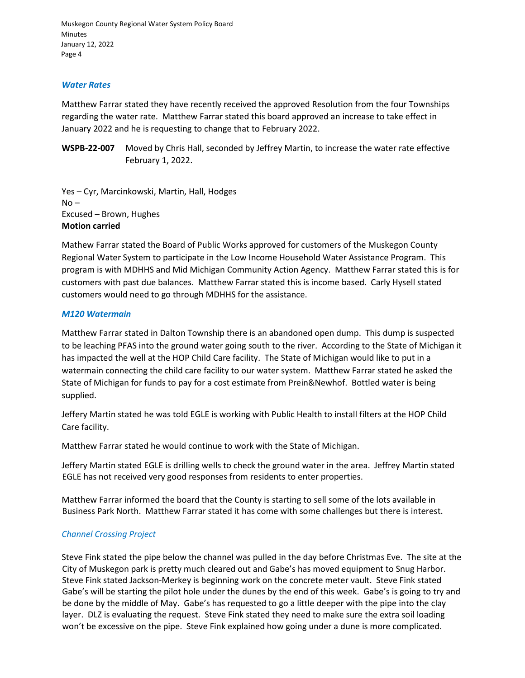Muskegon County Regional Water System Policy Board Minutes January 12, 2022 Page 4

#### Water Rates

Matthew Farrar stated they have recently received the approved Resolution from the four Townships regarding the water rate. Matthew Farrar stated this board approved an increase to take effect in January 2022 and he is requesting to change that to February 2022.

WSPB-22-007 Moved by Chris Hall, seconded by Jeffrey Martin, to increase the water rate effective February 1, 2022.

Yes – Cyr, Marcinkowski, Martin, Hall, Hodges  $No -$ Excused – Brown, Hughes Motion carried

Mathew Farrar stated the Board of Public Works approved for customers of the Muskegon County Regional Water System to participate in the Low Income Household Water Assistance Program. This program is with MDHHS and Mid Michigan Community Action Agency. Matthew Farrar stated this is for customers with past due balances. Matthew Farrar stated this is income based. Carly Hysell stated customers would need to go through MDHHS for the assistance.

#### M120 Watermain

Matthew Farrar stated in Dalton Township there is an abandoned open dump. This dump is suspected to be leaching PFAS into the ground water going south to the river. According to the State of Michigan it has impacted the well at the HOP Child Care facility. The State of Michigan would like to put in a watermain connecting the child care facility to our water system. Matthew Farrar stated he asked the State of Michigan for funds to pay for a cost estimate from Prein&Newhof. Bottled water is being supplied.

Jeffery Martin stated he was told EGLE is working with Public Health to install filters at the HOP Child Care facility.

Matthew Farrar stated he would continue to work with the State of Michigan.

Jeffery Martin stated EGLE is drilling wells to check the ground water in the area. Jeffrey Martin stated EGLE has not received very good responses from residents to enter properties.

Matthew Farrar informed the board that the County is starting to sell some of the lots available in Business Park North. Matthew Farrar stated it has come with some challenges but there is interest.

# Channel Crossing Project

Steve Fink stated the pipe below the channel was pulled in the day before Christmas Eve. The site at the City of Muskegon park is pretty much cleared out and Gabe's has moved equipment to Snug Harbor. Steve Fink stated Jackson-Merkey is beginning work on the concrete meter vault. Steve Fink stated Gabe's will be starting the pilot hole under the dunes by the end of this week. Gabe's is going to try and be done by the middle of May. Gabe's has requested to go a little deeper with the pipe into the clay layer. DLZ is evaluating the request. Steve Fink stated they need to make sure the extra soil loading won't be excessive on the pipe. Steve Fink explained how going under a dune is more complicated.